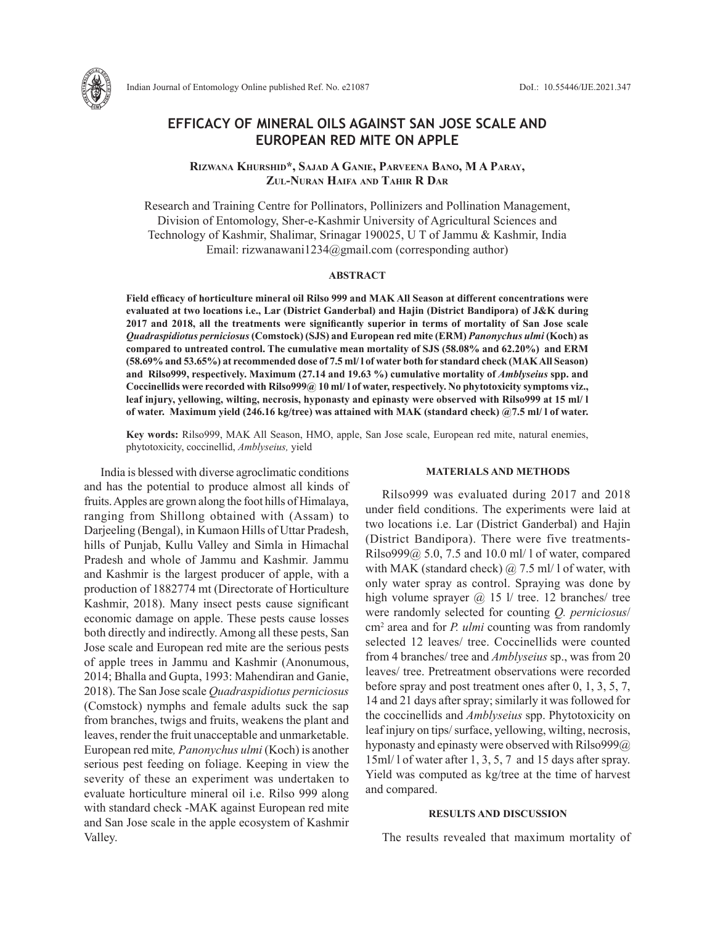

Indian Journal of Entomology Online published Ref. No. e21087 DoI.: 10.55446/IJE.2021.347

# **EFFICACY OF MINERAL OILS AGAINST SAN JOSE SCALE AND EUROPEAN RED MITE ON APPLE**

**Rizwana Khurshid\*, Sajad A Ganie, Parveena Bano, M A Paray, Zul-Nuran Haifa and Tahir R Dar**

Research and Training Centre for Pollinators, Pollinizers and Pollination Management, Division of Entomology, Sher-e-Kashmir University of Agricultural Sciences and Technology of Kashmir, Shalimar, Srinagar 190025, U T of Jammu & Kashmir, India Email: rizwanawani1234@gmail.com (corresponding author)

# **ABSTRACT**

**Field efficacy of horticulture mineral oil Rilso 999 and MAK All Season at different concentrations were evaluated at two locations i.e., Lar (District Ganderbal) and Hajin (District Bandipora) of J&K during 2017 and 2018, all the treatments were significantly superior in terms of mortality of San Jose scale**  *Quadraspidiotus perniciosus***(Comstock) (SJS) and European red mite (ERM)** *Panonychus ulmi* **(Koch) as compared to untreated control. The cumulative mean mortality of SJS (58.08% and 62.20%) and ERM (58.69% and 53.65%) at recommended dose of 7.5 ml/ l of water both for standard check (MAK All Season) and Rilso999, respectively. Maximum (27.14 and 19.63 %) cumulative mortality of** *Amblyseius* **spp. and Coccinellids were recorded with Rilso999@ 10 ml/ l of water, respectively. No phytotoxicity symptoms viz., leaf injury, yellowing, wilting, necrosis, hyponasty and epinasty were observed with Rilso999 at 15 ml/ l of water. Maximum yield (246.16 kg/tree) was attained with MAK (standard check) @7.5 ml/ l of water.** 

**Key words:** Rilso999, MAK All Season, HMO, apple, San Jose scale, European red mite, natural enemies, phytotoxicity, coccinellid, *Amblyseius,* yield

India is blessed with diverse agroclimatic conditions and has the potential to produce almost all kinds of fruits. Apples are grown along the foot hills of Himalaya, ranging from Shillong obtained with (Assam) to Darjeeling (Bengal), in Kumaon Hills of Uttar Pradesh, hills of Punjab, Kullu Valley and Simla in Himachal Pradesh and whole of Jammu and Kashmir. Jammu and Kashmir is the largest producer of apple, with a production of 1882774 mt (Directorate of Horticulture Kashmir, 2018). Many insect pests cause significant economic damage on apple. These pests cause losses both directly and indirectly. Among all these pests, San Jose scale and European red mite are the serious pests of apple trees in Jammu and Kashmir (Anonumous, 2014; Bhalla and Gupta, 1993: Mahendiran and Ganie, 2018). The San Jose scale *Quadraspidiotus perniciosus* (Comstock) nymphs and female adults suck the sap from branches, twigs and fruits, weakens the plant and leaves, render the fruit unacceptable and unmarketable. European red mite*, Panonychus ulmi* (Koch) is another serious pest feeding on foliage. Keeping in view the severity of these an experiment was undertaken to evaluate horticulture mineral oil i.e. Rilso 999 along with standard check -MAK against European red mite and San Jose scale in the apple ecosystem of Kashmir Valley.

### **MATERIALS AND METHODS**

Rilso999 was evaluated during 2017 and 2018 under field conditions. The experiments were laid at two locations i.e. Lar (District Ganderbal) and Hajin (District Bandipora). There were five treatments-Rilso $999@$  5.0, 7.5 and 10.0 ml/ l of water, compared with MAK (standard check)  $\omega$  7.5 ml/ l of water, with only water spray as control. Spraying was done by high volume sprayer  $\omega$  15 l/ tree. 12 branches/ tree were randomly selected for counting *Q. perniciosus*/ cm2 area and for *P. ulmi* counting was from randomly selected 12 leaves/ tree. Coccinellids were counted from 4 branches/ tree and *Amblyseius* sp., was from 20 leaves/ tree. Pretreatment observations were recorded before spray and post treatment ones after 0, 1, 3, 5, 7, 14 and 21 days after spray; similarly it was followed for the coccinellids and *Amblyseius* spp. Phytotoxicity on leaf injury on tips/ surface, yellowing, wilting, necrosis, hyponasty and epinasty were observed with Rilso999@ 15ml/ l of water after 1, 3, 5, 7 and 15 days after spray. Yield was computed as kg/tree at the time of harvest and compared.

# **RESULTS AND DISCUSSION**

The results revealed that maximum mortality of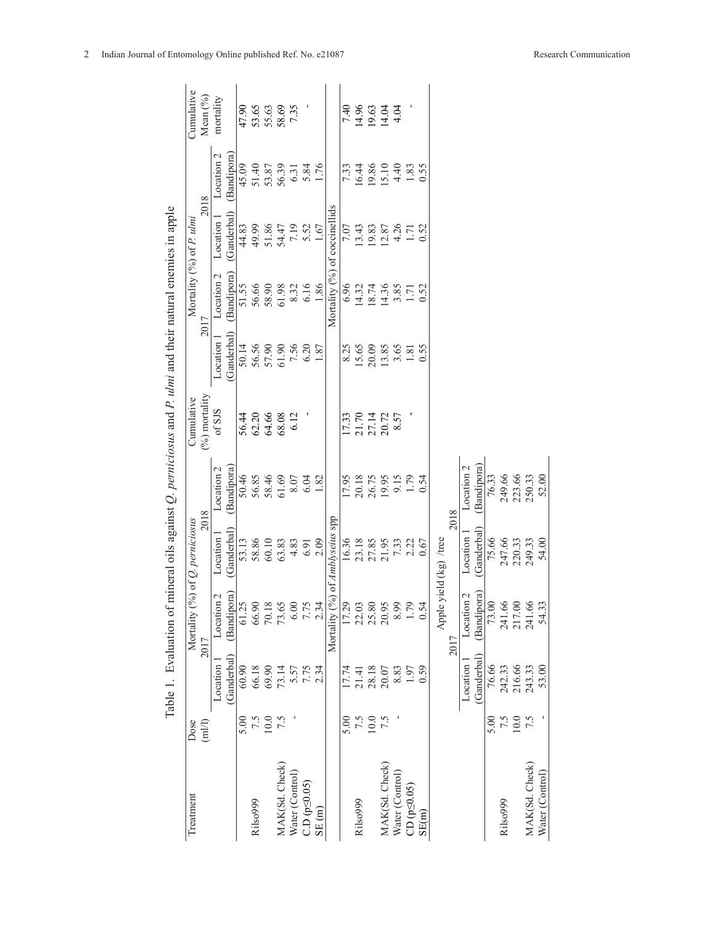| Treatment              | Dose     |                      | Mortality (                          | $(9/0)$ of Q. perniciosus |                       | Cumulative      |                     | Mortality (%) of P. ulmi      |                         |                         | Cumulative |
|------------------------|----------|----------------------|--------------------------------------|---------------------------|-----------------------|-----------------|---------------------|-------------------------------|-------------------------|-------------------------|------------|
|                        | (m1/1)   |                      | 2017                                 |                           | 2018                  | $(%)$ mortality |                     | 2017                          |                         | 2018                    | Mean $(%$  |
|                        |          | Location             | (Bandipora)<br>Location <sub>2</sub> | (Ganderbal)<br>Location   | Location 2            | of SJS          | Location            | Location 2                    | (Ganderbal)<br>Location | $\mathbf 2$<br>Location | mortality  |
|                        | 5.00     | (Ganderbal)<br>60.90 | 61.25                                | 53.13                     | Bandipora)            |                 | Ganderbal)<br>50.14 | <b>Bandipora</b><br>51.55     | 44.83                   | (Bandipora)<br>45.09    | 47.90      |
| Rilso999               | 7.5      | 66.18                | 66.90                                | 58.86                     | 50.46<br>56.85        | 56.44<br>62.20  | 56.56               | 56.66                         | 49.99                   | 51.40                   | 53.65      |
|                        | $10.0\,$ | 69.90                | 70.18                                | 60.10                     |                       | 64.66           | 57.90               | 58.90                         | 51.86                   |                         | 55.63      |
| MAK(Sd. Check)         | 7.5      | 73.14                | 73.65                                | 63.83                     | 58.46<br>61.69        | 68.08           | 61.90               | 61.98                         | 54.47                   | 53.87<br>56.39          | 58.69      |
| Water (Control)        |          | 5.57                 | 6.00                                 | 4.83                      | 8.07                  | 6.12            | 7.56                | 8.32                          | 7.19                    | 6.31                    | 7.35       |
| $C.D$ ( $p \le 0.05$ ) |          | 7.75<br>2.34         | 7.75                                 | 6.91                      | 6.04                  |                 | 6.20                | 6.16                          | $5.52$<br>1.67          |                         |            |
| SE(m)                  |          |                      | 2.34                                 | 2.09                      | 1.82                  |                 | 1.87                | 1.86                          |                         | $5.84$<br>1.76          |            |
|                        |          |                      | Mortality (%) of Amblyseius spp      |                           |                       |                 |                     | Mortality (%) of coccinellids |                         |                         |            |
|                        | 5.00     | 17.74                | 17.29                                | 16.36                     | 17.95                 | 17.33           | 8.25                | 6.96                          | 7.07                    | 7.33                    | 7.40       |
| Rilso999               | 7.5      | 21.41                | 22.03                                | 23.18                     | 20.18                 | 21.70           | 15.65               | 14.32                         | 13.43                   | 16.44                   | 14.96      |
|                        | $10.0\,$ | 28.18                | 25.80                                | 27.85                     | 26.75                 | 27.14           | 20.09               | 18.74                         | 19.83                   | 19.86                   | 19.63      |
| MAK(Sd. Check)         | 7.5      | 20.07                | 20.95                                | 21.95                     | 19.95                 | 20.72           | 13.85               | 14.36                         | 12.87                   | 15.10                   | 14.04      |
| Water (Control)        |          | 8.83                 | 8.99                                 | 7.33                      | 9.15                  | 8.57            | 3.65                | 3.85                          | 4.26                    | 4.40                    | 4.04       |
| $CD (p \leq 0.05)$     |          | 1.97                 | 1.79                                 | 2.22                      | 1.79                  |                 | 1.81                | 1.71                          | 1.71                    | 1.83                    |            |
| SE(m)                  |          | 0.59                 | 0.54                                 | 0.67                      | 0.54                  |                 | 0.55                | 0.52                          | 0.52                    | 0.55                    |            |
|                        |          |                      | Apple                                | yield (kg) /tree          |                       |                 |                     |                               |                         |                         |            |
|                        |          |                      | 2017                                 |                           | 2018                  |                 |                     |                               |                         |                         |            |
|                        |          | Location 1           | Location <sub>2</sub>                | Location                  | Location <sub>2</sub> |                 |                     |                               |                         |                         |            |
|                        |          | (Ganderbal)          | (Bandipora)                          | Ganderbal <sup>'</sup>    | Bandipora             |                 |                     |                               |                         |                         |            |
|                        | 5.00     | 76.66                | 73.00                                | 75.66                     | 76.33                 |                 |                     |                               |                         |                         |            |
| Rilso999               | 7.5      | 242.33               | 241.66                               | 247.66                    | 249.66                |                 |                     |                               |                         |                         |            |
|                        | $10.0$   | 216.66               | 217.00                               | 220.33                    | 223.66                |                 |                     |                               |                         |                         |            |
| MAK(Sd. Check)         | 7.5      | 243.33               | 241.66                               | 249.33                    | 250.33                |                 |                     |                               |                         |                         |            |
| Water (Control)        |          | 53.00                | $\sim$<br>54.33                      | 54.00                     | 52.00                 |                 |                     |                               |                         |                         |            |
|                        |          |                      |                                      |                           |                       |                 |                     |                               |                         |                         |            |